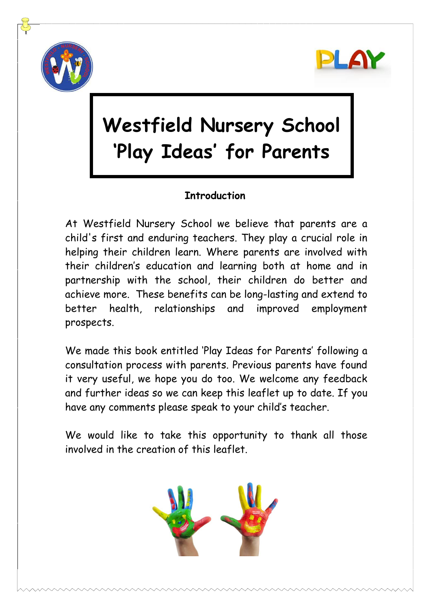



# **Westfield Nursery School 'Play Ideas' for Parents**

## **Introduction**

At Westfield Nursery School we believe that parents are a child's first and enduring teachers. They play a crucial role in helping their children learn. Where parents are involved with their children's education and learning both at home and in partnership with the school, their children do better and achieve more. These benefits can be long-lasting and extend to better health, relationships and improved employment prospects.

We made this book entitled 'Play Ideas for Parents' following a consultation process with parents. Previous parents have found it very useful, we hope you do too. We welcome any feedback and further ideas so we can keep this leaflet up to date. If you have any comments please speak to your child's teacher.

We would like to take this opportunity to thank all those involved in the creation of this leaflet.

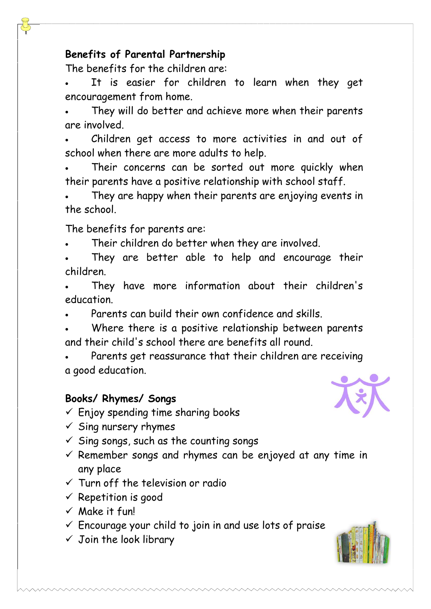#### **Benefits of Parental Partnership**

The benefits for the children are:

It is easier for children to learn when they get encouragement from home.

They will do better and achieve more when their parents are involved.

• Children get access to more activities in and out of school when there are more adults to help.

Their concerns can be sorted out more quickly when their parents have a positive relationship with school staff.

They are happy when their parents are enjoying events in the school.

The benefits for parents are:

Their children do better when they are involved.

They are better able to help and encourage their children.

They have more information about their children's education.

• Parents can build their own confidence and skills.

Where there is a positive relationship between parents and their child's school there are benefits all round.

Parents get reassurance that their children are receiving a good education.

### **Books/ Rhymes/ Songs**





 $\checkmark$  Sing songs, such as the counting songs

- $\checkmark$  Remember songs and rhymes can be enjoyed at any time in any place
- $\checkmark$  Turn off the television or radio
- $\checkmark$  Repetition is good
- ✓ Make it fun!
- $\checkmark$  Encourage your child to join in and use lots of praise
- $\checkmark$  Join the look library



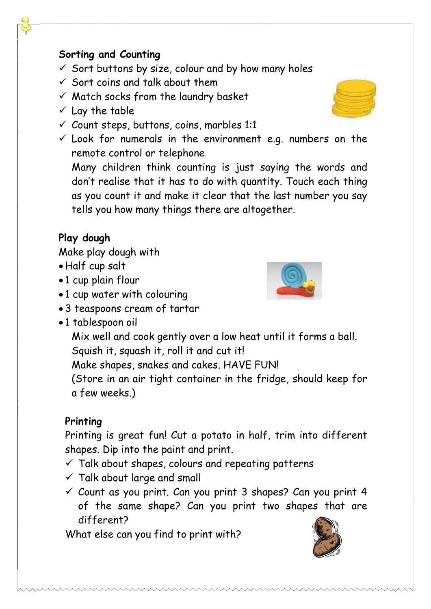#### **Sorting and Counting**

- $\checkmark$  Sort buttons by size, colour and by how many holes
- $\checkmark$  Sort coins and talk about them
- $\checkmark$  Match socks from the laundry basket
- $\checkmark$  Lay the table
- $\checkmark$  Count steps, buttons, coins, marbles 1:1
- $\checkmark$  Look for numerals in the environment e.g. numbers on the remote control or telephone

Many children think counting is just saying the words and don't realise that it has to do with quantity. Touch each thing as you count it and make it clear that the last number you say tells you how many things there are altogether.

## **Play dough**

Make play dough with

- Half cup salt
- 1 cup plain flour
- 1 cup water with colouring
- 3 teaspoons cream of tartar
- 1 tablespoon oil
	- Mix well and cook gently over a low heat until it forms a ball. Squish it, squash it, roll it and cut it!

Make shapes, snakes and cakes. HAVE FUN!

(Store in an air tight container in the fridge, should keep for a few weeks.)

### **Printing**

Printing is great fun! Cut a potato in half, trim into different shapes. Dip into the paint and print.

- $\checkmark$  Talk about shapes, colours and repeating patterns
- $\checkmark$  Talk about large and small
- $\checkmark$  Count as you print. Can you print 3 shapes? Can you print 4 of the same shape? Can you print two shapes that are different?

What else can you find to print with?